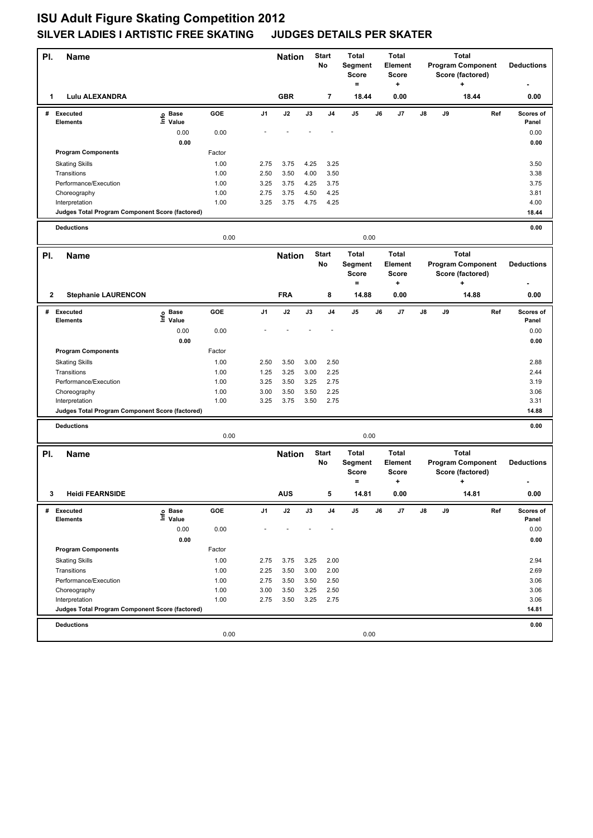| PI. | <b>Name</b>                                                       |                            |              |                | <b>Nation</b> |              | Start<br>No    | <b>Total</b><br>Segment<br><b>Score</b><br>$=$ |    | <b>Total</b><br>Element<br><b>Score</b><br>+ |    |    | <b>Total</b><br><b>Program Component</b><br>Score (factored)<br>÷ |     | <b>Deductions</b>  |
|-----|-------------------------------------------------------------------|----------------------------|--------------|----------------|---------------|--------------|----------------|------------------------------------------------|----|----------------------------------------------|----|----|-------------------------------------------------------------------|-----|--------------------|
| 1   | <b>Lulu ALEXANDRA</b>                                             |                            |              |                | <b>GBR</b>    |              | 7              | 18.44                                          |    | 0.00                                         |    |    | 18.44                                                             |     | 0.00               |
|     | # Executed<br><b>Elements</b>                                     | e Base<br>⊑ Value          | <b>GOE</b>   | J <sub>1</sub> | J2            | J3           | J <sub>4</sub> | J5                                             | J6 | J7                                           | J8 | J9 |                                                                   | Ref | Scores of<br>Panel |
|     |                                                                   | 0.00                       | 0.00         |                |               |              |                |                                                |    |                                              |    |    |                                                                   |     | 0.00               |
|     |                                                                   | 0.00                       |              |                |               |              |                |                                                |    |                                              |    |    |                                                                   |     | 0.00               |
|     | <b>Program Components</b>                                         |                            | Factor       |                |               |              |                |                                                |    |                                              |    |    |                                                                   |     |                    |
|     | <b>Skating Skills</b>                                             |                            | 1.00         | 2.75           | 3.75          | 4.25         | 3.25           |                                                |    |                                              |    |    |                                                                   |     | 3.50               |
|     | Transitions                                                       |                            | 1.00         | 2.50           | 3.50          | 4.00         | 3.50           |                                                |    |                                              |    |    |                                                                   |     | 3.38               |
|     | Performance/Execution                                             |                            | 1.00<br>1.00 | 3.25<br>2.75   | 3.75<br>3.75  | 4.25<br>4.50 | 3.75<br>4.25   |                                                |    |                                              |    |    |                                                                   |     | 3.75               |
|     | Choreography<br>Interpretation                                    |                            | 1.00         | 3.25           | 3.75          | 4.75         | 4.25           |                                                |    |                                              |    |    |                                                                   |     | 3.81<br>4.00       |
|     | Judges Total Program Component Score (factored)                   |                            |              |                |               |              |                |                                                |    |                                              |    |    |                                                                   |     | 18.44              |
|     |                                                                   |                            |              |                |               |              |                |                                                |    |                                              |    |    |                                                                   |     |                    |
|     | <b>Deductions</b>                                                 |                            | 0.00         |                |               |              |                | 0.00                                           |    |                                              |    |    |                                                                   |     | 0.00               |
| PI. | <b>Name</b>                                                       |                            |              |                | <b>Nation</b> |              | <b>Start</b>   | <b>Total</b>                                   |    | <b>Total</b>                                 |    |    | <b>Total</b>                                                      |     |                    |
|     |                                                                   |                            |              |                |               |              | No             | Segment<br><b>Score</b>                        |    | Element<br><b>Score</b>                      |    |    | <b>Program Component</b><br>Score (factored)                      |     | <b>Deductions</b>  |
|     |                                                                   |                            |              |                |               |              |                | $=$                                            |    | +                                            |    |    | ۰.                                                                |     |                    |
| 2   | <b>Stephanie LAURENCON</b>                                        |                            |              |                | <b>FRA</b>    |              | 8              | 14.88                                          |    | 0.00                                         |    |    | 14.88                                                             |     | 0.00               |
| #   | <b>Executed</b><br><b>Elements</b>                                | e Base<br>E Value<br>Value | <b>GOE</b>   | J1             | J2            | J3           | J4             | J5                                             | J6 | J7                                           | J8 | J9 |                                                                   | Ref | Scores of<br>Panel |
|     |                                                                   | 0.00                       | 0.00         |                |               |              |                |                                                |    |                                              |    |    |                                                                   |     | 0.00               |
|     |                                                                   | 0.00                       |              |                |               |              |                |                                                |    |                                              |    |    |                                                                   |     | 0.00               |
|     | <b>Program Components</b>                                         |                            | Factor       |                |               |              |                |                                                |    |                                              |    |    |                                                                   |     |                    |
|     | <b>Skating Skills</b>                                             |                            | 1.00         | 2.50           | 3.50          | 3.00         | 2.50           |                                                |    |                                              |    |    |                                                                   |     | 2.88               |
|     | Transitions                                                       |                            | 1.00         | 1.25           | 3.25          | 3.00         | 2.25           |                                                |    |                                              |    |    |                                                                   |     | 2.44               |
|     | Performance/Execution                                             |                            | 1.00         | 3.25           | 3.50          | 3.25         | 2.75           |                                                |    |                                              |    |    |                                                                   |     | 3.19               |
|     | Choreography                                                      |                            | 1.00<br>1.00 | 3.00           | 3.50          | 3.50         | 2.25           |                                                |    |                                              |    |    |                                                                   |     | 3.06               |
|     | Interpretation<br>Judges Total Program Component Score (factored) |                            |              | 3.25           | 3.75          | 3.50         | 2.75           |                                                |    |                                              |    |    |                                                                   |     | 3.31<br>14.88      |
|     |                                                                   |                            |              |                |               |              |                |                                                |    |                                              |    |    |                                                                   |     |                    |
|     | <b>Deductions</b>                                                 |                            | 0.00         |                |               |              |                | 0.00                                           |    |                                              |    |    |                                                                   |     | 0.00               |
|     |                                                                   |                            |              |                |               |              | <b>Start</b>   | <b>Total</b>                                   |    | <b>Total</b>                                 |    |    | <b>Total</b>                                                      |     |                    |
| PI. | Name                                                              |                            |              |                | <b>Nation</b> |              | No             | Segment<br><b>Score</b><br>$\qquad \qquad =$   |    | Element<br><b>Score</b><br>٠                 |    |    | <b>Program Component</b><br>Score (factored)<br>+                 |     | <b>Deductions</b>  |
| 3   | <b>Heidi FEARNSIDE</b>                                            |                            |              |                | <b>AUS</b>    |              |                | 14.81                                          |    | 0.00                                         |    |    | 14.81                                                             |     | 0.00               |
| #   | <b>Executed</b>                                                   | e Base<br>⊑ Value          | GOE          | J1             | $\mathsf{J}2$ | J3           | J4             | J5                                             | J6 | J7                                           | J8 | J9 |                                                                   | Ref | Scores of          |
|     | Elements                                                          | 0.00                       | 0.00         |                |               |              |                |                                                |    |                                              |    |    |                                                                   |     | Panel<br>0.00      |
|     |                                                                   | 0.00                       |              |                |               |              |                |                                                |    |                                              |    |    |                                                                   |     | 0.00               |
|     | <b>Program Components</b>                                         |                            | Factor       |                |               |              |                |                                                |    |                                              |    |    |                                                                   |     |                    |
|     | <b>Skating Skills</b>                                             |                            | 1.00         | 2.75           | 3.75          | 3.25         | 2.00           |                                                |    |                                              |    |    |                                                                   |     | 2.94               |
|     | Transitions                                                       |                            | 1.00         | 2.25           | 3.50          | 3.00         | 2.00           |                                                |    |                                              |    |    |                                                                   |     | 2.69               |
|     | Performance/Execution                                             |                            | 1.00         | 2.75           | 3.50          | 3.50         | 2.50           |                                                |    |                                              |    |    |                                                                   |     | 3.06               |
|     | Choreography                                                      |                            | 1.00         | 3.00           | 3.50          | 3.25         | 2.50           |                                                |    |                                              |    |    |                                                                   |     | 3.06               |
|     | Interpretation                                                    |                            | 1.00         | 2.75           | 3.50          | 3.25         | 2.75           |                                                |    |                                              |    |    |                                                                   |     | 3.06               |
|     | Judges Total Program Component Score (factored)                   |                            |              |                |               |              |                |                                                |    |                                              |    |    |                                                                   |     | 14.81              |
|     | <b>Deductions</b>                                                 |                            |              |                |               |              |                |                                                |    |                                              |    |    |                                                                   |     | 0.00               |
|     |                                                                   |                            | 0.00         |                |               |              |                | 0.00                                           |    |                                              |    |    |                                                                   |     |                    |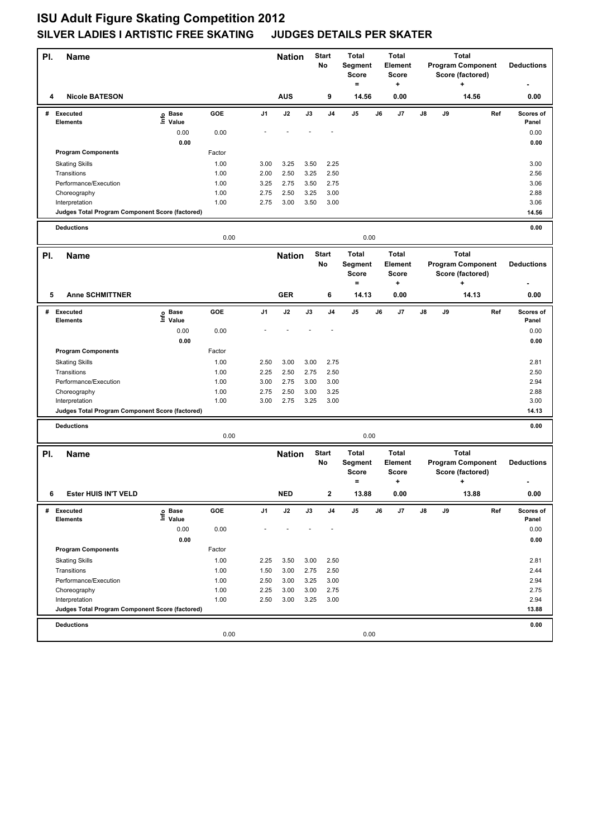| PI. | <b>Name</b>                                                       |                   |              |                | <b>Start</b><br><b>Nation</b><br>No |              | <b>Total</b><br>Segment<br><b>Score</b><br>$=$ | <b>Total</b><br>Element<br><b>Score</b><br>+   |    | <b>Total</b><br><b>Program Component</b><br>Score (factored)<br>+ |    |    |                                                              | <b>Deductions</b> |                   |
|-----|-------------------------------------------------------------------|-------------------|--------------|----------------|-------------------------------------|--------------|------------------------------------------------|------------------------------------------------|----|-------------------------------------------------------------------|----|----|--------------------------------------------------------------|-------------------|-------------------|
| 4   | <b>Nicole BATESON</b>                                             |                   |              |                | <b>AUS</b>                          |              | 9                                              | 14.56                                          |    | 0.00                                                              |    |    | 14.56                                                        |                   | 0.00              |
|     | # Executed                                                        | e Base<br>⊑ Value | GOE          | J <sub>1</sub> | J2                                  | J3           | J4                                             | J <sub>5</sub>                                 | J6 | J7                                                                | J8 | J9 |                                                              | Ref               | Scores of         |
|     | <b>Elements</b>                                                   | 0.00              | 0.00         |                |                                     |              |                                                |                                                |    |                                                                   |    |    |                                                              |                   | Panel<br>0.00     |
|     |                                                                   | 0.00              |              |                |                                     |              |                                                |                                                |    |                                                                   |    |    |                                                              |                   | 0.00              |
|     | <b>Program Components</b>                                         |                   | Factor       |                |                                     |              |                                                |                                                |    |                                                                   |    |    |                                                              |                   |                   |
|     | <b>Skating Skills</b>                                             |                   | 1.00         | 3.00           | 3.25                                | 3.50         | 2.25                                           |                                                |    |                                                                   |    |    |                                                              |                   | 3.00              |
|     | Transitions                                                       |                   | 1.00         | 2.00           | 2.50                                | 3.25         | 2.50                                           |                                                |    |                                                                   |    |    |                                                              |                   | 2.56              |
|     | Performance/Execution                                             |                   | 1.00         | 3.25           | 2.75                                | 3.50         | 2.75                                           |                                                |    |                                                                   |    |    |                                                              |                   | 3.06              |
|     | Choreography                                                      |                   | 1.00         | 2.75<br>2.75   | 2.50                                | 3.25<br>3.50 | 3.00                                           |                                                |    |                                                                   |    |    |                                                              |                   | 2.88              |
|     | Interpretation<br>Judges Total Program Component Score (factored) |                   | 1.00         |                | 3.00                                |              | 3.00                                           |                                                |    |                                                                   |    |    |                                                              |                   | 3.06<br>14.56     |
|     |                                                                   |                   |              |                |                                     |              |                                                |                                                |    |                                                                   |    |    |                                                              |                   |                   |
|     | <b>Deductions</b>                                                 |                   | 0.00         |                |                                     |              |                                                | 0.00                                           |    |                                                                   |    |    |                                                              |                   | 0.00              |
| PI. | <b>Name</b>                                                       |                   |              |                | <b>Nation</b>                       |              | <b>Start</b><br>No                             | <b>Total</b><br><b>Segment</b><br><b>Score</b> |    | <b>Total</b><br>Element<br><b>Score</b>                           |    |    | <b>Total</b><br><b>Program Component</b><br>Score (factored) |                   | <b>Deductions</b> |
|     |                                                                   |                   |              |                |                                     |              |                                                | $=$                                            |    | +                                                                 |    |    | ۰.                                                           |                   |                   |
| 5   | <b>Anne SCHMITTNER</b>                                            |                   |              |                | <b>GER</b>                          |              | 6                                              | 14.13                                          |    | 0.00                                                              |    |    | 14.13                                                        |                   | 0.00              |
|     | # Executed<br><b>Elements</b>                                     | e Base<br>E Value | GOE          | J1             | J2                                  | J3           | J <sub>4</sub>                                 | J5                                             | J6 | J7                                                                | J8 | J9 |                                                              | Ref               | Scores of         |
|     |                                                                   | 0.00              | 0.00         |                |                                     |              |                                                |                                                |    |                                                                   |    |    |                                                              |                   | Panel<br>0.00     |
|     |                                                                   | 0.00              |              |                |                                     |              |                                                |                                                |    |                                                                   |    |    |                                                              |                   | 0.00              |
|     | <b>Program Components</b>                                         |                   | Factor       |                |                                     |              |                                                |                                                |    |                                                                   |    |    |                                                              |                   |                   |
|     | <b>Skating Skills</b>                                             |                   | 1.00         | 2.50           | 3.00                                | 3.00         | 2.75                                           |                                                |    |                                                                   |    |    |                                                              |                   | 2.81              |
|     | Transitions                                                       |                   | 1.00         | 2.25           | 2.50                                | 2.75         | 2.50                                           |                                                |    |                                                                   |    |    |                                                              |                   | 2.50              |
|     | Performance/Execution                                             |                   | 1.00         | 3.00           | 2.75                                | 3.00         | 3.00                                           |                                                |    |                                                                   |    |    |                                                              |                   | 2.94              |
|     | Choreography                                                      |                   | 1.00<br>1.00 | 2.75           | 2.50                                | 3.00         | 3.25                                           |                                                |    |                                                                   |    |    |                                                              |                   | 2.88<br>3.00      |
|     | Interpretation<br>Judges Total Program Component Score (factored) |                   |              | 3.00           | 2.75                                | 3.25         | 3.00                                           |                                                |    |                                                                   |    |    |                                                              |                   | 14.13             |
|     |                                                                   |                   |              |                |                                     |              |                                                |                                                |    |                                                                   |    |    |                                                              |                   |                   |
|     | <b>Deductions</b>                                                 |                   | 0.00         |                |                                     |              |                                                | 0.00                                           |    |                                                                   |    |    |                                                              |                   | 0.00              |
| PI. | <b>Name</b>                                                       |                   |              |                | <b>Nation</b>                       |              | <b>Start</b>                                   | <b>Total</b>                                   |    | <b>Total</b>                                                      |    |    | <b>Total</b>                                                 |                   |                   |
|     |                                                                   |                   |              |                |                                     |              | No                                             | Segment<br><b>Score</b><br>$\equiv$            |    | <b>Element</b><br><b>Score</b><br>٠                               |    |    | <b>Program Component</b><br>Score (factored)<br>+            |                   | <b>Deductions</b> |
| 6   | Ester HUIS IN'T VELD                                              |                   |              |                | <b>NED</b>                          |              |                                                | 13.88                                          |    | 0.00                                                              |    |    | 13.88                                                        |                   | 0.00              |
| #   | <b>Executed</b>                                                   | e Base<br>⊑ Value | GOE          | J1             | J2                                  | J3           | J4                                             | J5                                             | J6 | J7                                                                | J8 | J9 |                                                              | Ref               | Scores of         |
|     | <b>Elements</b>                                                   | 0.00              | 0.00         |                |                                     |              |                                                |                                                |    |                                                                   |    |    |                                                              |                   | Panel<br>0.00     |
|     |                                                                   | 0.00              |              |                |                                     |              |                                                |                                                |    |                                                                   |    |    |                                                              |                   | 0.00              |
|     | <b>Program Components</b>                                         |                   | Factor       |                |                                     |              |                                                |                                                |    |                                                                   |    |    |                                                              |                   |                   |
|     | <b>Skating Skills</b>                                             |                   | 1.00         | 2.25           | 3.50                                | 3.00         | 2.50                                           |                                                |    |                                                                   |    |    |                                                              |                   | 2.81              |
|     | Transitions                                                       |                   | 1.00         | 1.50           | 3.00                                | 2.75         | 2.50                                           |                                                |    |                                                                   |    |    |                                                              |                   | 2.44              |
|     | Performance/Execution                                             |                   | 1.00         | 2.50           | 3.00                                | 3.25         | 3.00                                           |                                                |    |                                                                   |    |    |                                                              |                   | 2.94              |
|     | Choreography                                                      |                   | 1.00         | 2.25           | 3.00                                | 3.00         | 2.75                                           |                                                |    |                                                                   |    |    |                                                              |                   | 2.75              |
|     | Interpretation<br>Judges Total Program Component Score (factored) |                   | 1.00         | 2.50           | 3.00                                | 3.25         | 3.00                                           |                                                |    |                                                                   |    |    |                                                              |                   | 2.94<br>13.88     |
|     |                                                                   |                   |              |                |                                     |              |                                                |                                                |    |                                                                   |    |    |                                                              |                   |                   |
|     | <b>Deductions</b>                                                 |                   | 0.00         |                |                                     |              |                                                | 0.00                                           |    |                                                                   |    |    |                                                              |                   | 0.00              |
|     |                                                                   |                   |              |                |                                     |              |                                                |                                                |    |                                                                   |    |    |                                                              |                   |                   |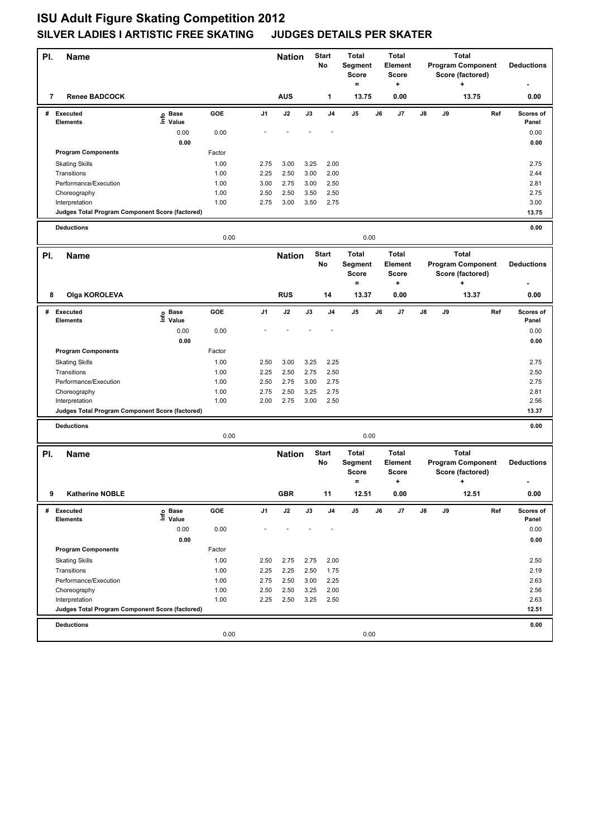| PI. | <b>Name</b>                                     |                   |              |                | <b>Nation</b> |              | Start<br>No    | <b>Total</b><br>Segment<br><b>Score</b><br>$=$               |    | <b>Total</b><br>Element<br><b>Score</b><br>+ |    |    | <b>Total</b><br><b>Program Component</b><br>Score (factored)<br>÷ |     | <b>Deductions</b>  |
|-----|-------------------------------------------------|-------------------|--------------|----------------|---------------|--------------|----------------|--------------------------------------------------------------|----|----------------------------------------------|----|----|-------------------------------------------------------------------|-----|--------------------|
| 7   | <b>Renee BADCOCK</b>                            |                   |              |                | <b>AUS</b>    |              | 1              | 13.75                                                        |    | 0.00                                         |    |    | 13.75                                                             |     | 0.00               |
|     | # Executed<br><b>Elements</b>                   | e Base<br>⊑ Value | GOE          | J <sub>1</sub> | J2            | J3           | J <sub>4</sub> | J5                                                           | J6 | J7                                           | J8 | J9 |                                                                   | Ref | Scores of<br>Panel |
|     |                                                 | 0.00              | 0.00         |                |               |              |                |                                                              |    |                                              |    |    |                                                                   |     | 0.00               |
|     |                                                 | 0.00              |              |                |               |              |                |                                                              |    |                                              |    |    |                                                                   |     | 0.00               |
|     | <b>Program Components</b>                       |                   | Factor       |                |               |              |                |                                                              |    |                                              |    |    |                                                                   |     |                    |
|     | <b>Skating Skills</b>                           |                   | 1.00         | 2.75           | 3.00          | 3.25         | 2.00           |                                                              |    |                                              |    |    |                                                                   |     | 2.75               |
|     | Transitions                                     |                   | 1.00         | 2.25           | 2.50          | 3.00         | 2.00           |                                                              |    |                                              |    |    |                                                                   |     | 2.44               |
|     | Performance/Execution                           |                   | 1.00         | 3.00           | 2.75          | 3.00         | 2.50           |                                                              |    |                                              |    |    |                                                                   |     | 2.81               |
|     | Choreography<br>Interpretation                  |                   | 1.00<br>1.00 | 2.50<br>2.75   | 2.50<br>3.00  | 3.50<br>3.50 | 2.50<br>2.75   |                                                              |    |                                              |    |    |                                                                   |     | 2.75<br>3.00       |
|     | Judges Total Program Component Score (factored) |                   |              |                |               |              |                |                                                              |    |                                              |    |    |                                                                   |     | 13.75              |
|     |                                                 |                   |              |                |               |              |                |                                                              |    |                                              |    |    |                                                                   |     |                    |
|     | <b>Deductions</b>                               |                   | 0.00         |                |               |              |                | 0.00                                                         |    |                                              |    |    |                                                                   |     | 0.00               |
| PI. | <b>Name</b>                                     |                   |              |                | <b>Nation</b> |              | <b>Start</b>   | <b>Total</b>                                                 |    | <b>Total</b>                                 |    |    | <b>Total</b>                                                      |     |                    |
|     |                                                 |                   |              |                |               |              | No             | Segment<br><b>Score</b><br>$=$                               |    | Element<br><b>Score</b><br>+                 |    |    | <b>Program Component</b><br>Score (factored)<br>+                 |     | <b>Deductions</b>  |
| 8   | Olga KOROLEVA                                   |                   |              |                | <b>RUS</b>    |              | 14             | 13.37                                                        |    | 0.00                                         |    |    | 13.37                                                             |     | 0.00               |
| #   | <b>Executed</b>                                 | e Base<br>E Value | <b>GOE</b>   | J1             | J2            | J3           | J4             | J5                                                           | J6 | J7                                           | J8 | J9 |                                                                   | Ref | Scores of          |
|     | <b>Elements</b>                                 | Value             |              |                |               |              |                |                                                              |    |                                              |    |    |                                                                   |     | Panel              |
|     |                                                 | 0.00<br>0.00      | 0.00         |                |               |              |                |                                                              |    |                                              |    |    |                                                                   |     | 0.00<br>0.00       |
|     | <b>Program Components</b>                       |                   | Factor       |                |               |              |                |                                                              |    |                                              |    |    |                                                                   |     |                    |
|     | <b>Skating Skills</b>                           |                   | 1.00         | 2.50           | 3.00          | 3.25         | 2.25           |                                                              |    |                                              |    |    |                                                                   |     | 2.75               |
|     | Transitions                                     |                   | 1.00         | 2.25           | 2.50          | 2.75         | 2.50           |                                                              |    |                                              |    |    |                                                                   |     | 2.50               |
|     | Performance/Execution                           |                   | 1.00         | 2.50           | 2.75          | 3.00         | 2.75           |                                                              |    |                                              |    |    |                                                                   |     | 2.75               |
|     | Choreography                                    |                   | 1.00         | 2.75           | 2.50          | 3.25         | 2.75           |                                                              |    |                                              |    |    |                                                                   |     | 2.81               |
|     | Interpretation                                  |                   | 1.00         | 2.00           | 2.75          | 3.00         | 2.50           |                                                              |    |                                              |    |    |                                                                   |     | 2.56               |
|     | Judges Total Program Component Score (factored) |                   |              |                |               |              |                |                                                              |    |                                              |    |    |                                                                   |     | 13.37              |
|     | <b>Deductions</b>                               |                   |              |                |               |              |                |                                                              |    |                                              |    |    |                                                                   |     | 0.00               |
|     |                                                 |                   | 0.00         |                |               |              |                | 0.00                                                         |    |                                              |    |    |                                                                   |     |                    |
| PI. | Name                                            |                   |              |                | <b>Nation</b> |              | Start<br>No    | <b>Total</b><br>Segment<br><b>Score</b><br>$\qquad \qquad =$ |    | <b>Total</b><br>Element<br><b>Score</b><br>٠ |    |    | <b>Total</b><br><b>Program Component</b><br>Score (factored)<br>+ |     | <b>Deductions</b>  |
| 9   | <b>Katherine NOBLE</b>                          |                   |              |                | <b>GBR</b>    |              | 11             | 12.51                                                        |    | 0.00                                         |    |    | 12.51                                                             |     | 0.00               |
| #   | <b>Executed</b>                                 | e Base<br>⊑ Value | GOE          | J1             | $\mathsf{J}2$ | J3           | J4             | J5                                                           | J6 | J7                                           | J8 | J9 |                                                                   | Ref | Scores of          |
|     | Elements                                        |                   |              |                |               |              |                |                                                              |    |                                              |    |    |                                                                   |     | Panel              |
|     |                                                 | 0.00<br>0.00      | 0.00         |                |               |              |                |                                                              |    |                                              |    |    |                                                                   |     | 0.00<br>0.00       |
|     | <b>Program Components</b>                       |                   | Factor       |                |               |              |                |                                                              |    |                                              |    |    |                                                                   |     |                    |
|     | <b>Skating Skills</b>                           |                   | 1.00         | 2.50           | 2.75          | 2.75         | 2.00           |                                                              |    |                                              |    |    |                                                                   |     | 2.50               |
|     | Transitions                                     |                   | 1.00         | 2.25           | 2.25          | 2.50         | 1.75           |                                                              |    |                                              |    |    |                                                                   |     | 2.19               |
|     | Performance/Execution                           |                   | 1.00         | 2.75           | 2.50          | 3.00         | 2.25           |                                                              |    |                                              |    |    |                                                                   |     | 2.63               |
|     | Choreography                                    |                   | 1.00         | 2.50           | 2.50          | 3.25         | 2.00           |                                                              |    |                                              |    |    |                                                                   |     | 2.56               |
|     | Interpretation                                  |                   | 1.00         | 2.25           | 2.50          | 3.25         | 2.50           |                                                              |    |                                              |    |    |                                                                   |     | 2.63               |
|     | Judges Total Program Component Score (factored) |                   |              |                |               |              |                |                                                              |    |                                              |    |    |                                                                   |     | 12.51              |
|     | <b>Deductions</b>                               |                   |              |                |               |              |                |                                                              |    |                                              |    |    |                                                                   |     | 0.00               |
|     |                                                 |                   | 0.00         |                |               |              |                | 0.00                                                         |    |                                              |    |    |                                                                   |     |                    |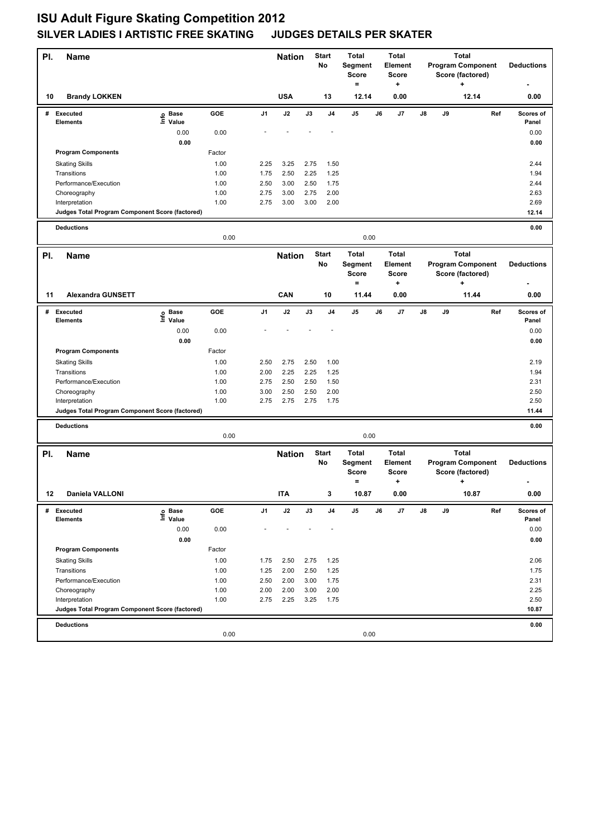| PI. | <b>Name</b>                                                       |                            |            |                | <b>Nation</b> |              | Start<br>No    | <b>Total</b><br>Segment<br><b>Score</b><br>$=$ |    | <b>Total</b><br>Element<br><b>Score</b><br>+ |    | <b>Program Component</b> | <b>Total</b><br>÷ | Score (factored) |     | <b>Deductions</b>  |
|-----|-------------------------------------------------------------------|----------------------------|------------|----------------|---------------|--------------|----------------|------------------------------------------------|----|----------------------------------------------|----|--------------------------|-------------------|------------------|-----|--------------------|
| 10  | <b>Brandy LOKKEN</b>                                              |                            |            |                | <b>USA</b>    |              | 13             | 12.14                                          |    | 0.00                                         |    |                          |                   | 12.14            |     | 0.00               |
|     | # Executed<br><b>Elements</b>                                     | e Base<br>⊑ Value          | GOE        | J <sub>1</sub> | J2            | J3           | J <sub>4</sub> | J5                                             | J6 | J7                                           | J8 | J9                       |                   |                  | Ref | Scores of<br>Panel |
|     |                                                                   | 0.00                       | 0.00       |                |               |              |                |                                                |    |                                              |    |                          |                   |                  |     | 0.00               |
|     |                                                                   | 0.00                       |            |                |               |              |                |                                                |    |                                              |    |                          |                   |                  |     | 0.00               |
|     | <b>Program Components</b>                                         |                            | Factor     |                |               |              |                |                                                |    |                                              |    |                          |                   |                  |     |                    |
|     | <b>Skating Skills</b>                                             |                            | 1.00       | 2.25           | 3.25          | 2.75         | 1.50           |                                                |    |                                              |    |                          |                   |                  |     | 2.44               |
|     | Transitions                                                       |                            | 1.00       | 1.75           | 2.50          | 2.25         | 1.25           |                                                |    |                                              |    |                          |                   |                  |     | 1.94               |
|     | Performance/Execution                                             |                            | 1.00       | 2.50           | 3.00          | 2.50         | 1.75           |                                                |    |                                              |    |                          |                   |                  |     | 2.44               |
|     | Choreography                                                      |                            | 1.00       | 2.75           | 3.00          | 2.75         | 2.00           |                                                |    |                                              |    |                          |                   |                  |     | 2.63               |
|     | Interpretation<br>Judges Total Program Component Score (factored) |                            | 1.00       | 2.75           | 3.00          | 3.00         | 2.00           |                                                |    |                                              |    |                          |                   |                  |     | 2.69<br>12.14      |
|     |                                                                   |                            |            |                |               |              |                |                                                |    |                                              |    |                          |                   |                  |     |                    |
|     | <b>Deductions</b>                                                 |                            | 0.00       |                |               |              |                | 0.00                                           |    |                                              |    |                          |                   |                  |     | 0.00               |
| PI. | <b>Name</b>                                                       |                            |            |                | <b>Nation</b> |              | <b>Start</b>   | <b>Total</b>                                   |    | <b>Total</b>                                 |    |                          | <b>Total</b>      |                  |     |                    |
|     |                                                                   |                            |            |                |               |              | No             | Segment<br><b>Score</b><br>$=$                 |    | Element<br><b>Score</b><br>+                 |    | <b>Program Component</b> | ۰.                | Score (factored) |     | <b>Deductions</b>  |
| 11  | <b>Alexandra GUNSETT</b>                                          |                            |            |                | CAN           |              | 10             | 11.44                                          |    | 0.00                                         |    |                          |                   | 11.44            |     | 0.00               |
| #   | <b>Executed</b><br><b>Elements</b>                                | e Base<br>E Value<br>Value | <b>GOE</b> | J1             | J2            | J3           | J4             | J5                                             | J6 | J7                                           | J8 | J9                       |                   |                  | Ref | Scores of<br>Panel |
|     |                                                                   | 0.00                       | 0.00       |                |               |              |                |                                                |    |                                              |    |                          |                   |                  |     | 0.00               |
|     |                                                                   | 0.00                       |            |                |               |              |                |                                                |    |                                              |    |                          |                   |                  |     | 0.00               |
|     | <b>Program Components</b>                                         |                            | Factor     |                |               |              |                |                                                |    |                                              |    |                          |                   |                  |     |                    |
|     | <b>Skating Skills</b>                                             |                            | 1.00       | 2.50           | 2.75          | 2.50         | 1.00           |                                                |    |                                              |    |                          |                   |                  |     | 2.19               |
|     | Transitions                                                       |                            | 1.00       | 2.00           | 2.25          | 2.25         | 1.25           |                                                |    |                                              |    |                          |                   |                  |     | 1.94               |
|     | Performance/Execution                                             |                            | 1.00       | 2.75           | 2.50          | 2.50         | 1.50           |                                                |    |                                              |    |                          |                   |                  |     | 2.31               |
|     | Choreography                                                      |                            | 1.00       | 3.00           | 2.50          | 2.50         | 2.00           |                                                |    |                                              |    |                          |                   |                  |     | 2.50               |
|     | Interpretation<br>Judges Total Program Component Score (factored) |                            | 1.00       | 2.75           | 2.75          | 2.75         | 1.75           |                                                |    |                                              |    |                          |                   |                  |     | 2.50<br>11.44      |
|     |                                                                   |                            |            |                |               |              |                |                                                |    |                                              |    |                          |                   |                  |     |                    |
|     | <b>Deductions</b>                                                 |                            | 0.00       |                |               |              |                | 0.00                                           |    |                                              |    |                          |                   |                  |     | 0.00               |
| PI. | Name                                                              |                            |            |                | <b>Nation</b> |              | <b>Start</b>   | <b>Total</b>                                   |    | <b>Total</b>                                 |    |                          | <b>Total</b>      |                  |     |                    |
|     |                                                                   |                            |            |                |               |              | No             | Segment<br><b>Score</b><br>$\qquad \qquad =$   |    | Element<br><b>Score</b><br>٠                 |    | <b>Program Component</b> | +                 | Score (factored) |     | <b>Deductions</b>  |
| 12  | Daniela VALLONI                                                   |                            |            |                | <b>ITA</b>    |              |                | 10.87                                          |    | 0.00                                         |    |                          |                   | 10.87            |     | 0.00               |
| #   | Executed                                                          | e Base<br>⊑ Value          | GOE        | J1             | $\mathsf{J2}$ | J3           | J4             | J5                                             | J6 | J7                                           | J8 | J9                       |                   |                  | Ref | Scores of          |
|     | Elements                                                          |                            |            |                |               |              |                |                                                |    |                                              |    |                          |                   |                  |     | Panel              |
|     |                                                                   | 0.00                       | 0.00       |                |               |              |                |                                                |    |                                              |    |                          |                   |                  |     | 0.00               |
|     | <b>Program Components</b>                                         | 0.00                       | Factor     |                |               |              |                |                                                |    |                                              |    |                          |                   |                  |     | 0.00               |
|     |                                                                   |                            | 1.00       |                |               |              |                |                                                |    |                                              |    |                          |                   |                  |     |                    |
|     | <b>Skating Skills</b><br>Transitions                              |                            | 1.00       | 1.75<br>1.25   | 2.50<br>2.00  | 2.75<br>2.50 | 1.25<br>1.25   |                                                |    |                                              |    |                          |                   |                  |     | 2.06<br>1.75       |
|     | Performance/Execution                                             |                            | 1.00       | 2.50           | 2.00          | 3.00         | 1.75           |                                                |    |                                              |    |                          |                   |                  |     | 2.31               |
|     | Choreography                                                      |                            | 1.00       | 2.00           | 2.00          | 3.00         | 2.00           |                                                |    |                                              |    |                          |                   |                  |     | 2.25               |
|     | Interpretation                                                    |                            | 1.00       | 2.75           | 2.25          | 3.25         | 1.75           |                                                |    |                                              |    |                          |                   |                  |     | 2.50               |
|     | Judges Total Program Component Score (factored)                   |                            |            |                |               |              |                |                                                |    |                                              |    |                          |                   |                  |     | 10.87              |
|     | <b>Deductions</b>                                                 |                            | 0.00       |                |               |              |                | 0.00                                           |    |                                              |    |                          |                   |                  |     | 0.00               |
|     |                                                                   |                            |            |                |               |              |                |                                                |    |                                              |    |                          |                   |                  |     |                    |